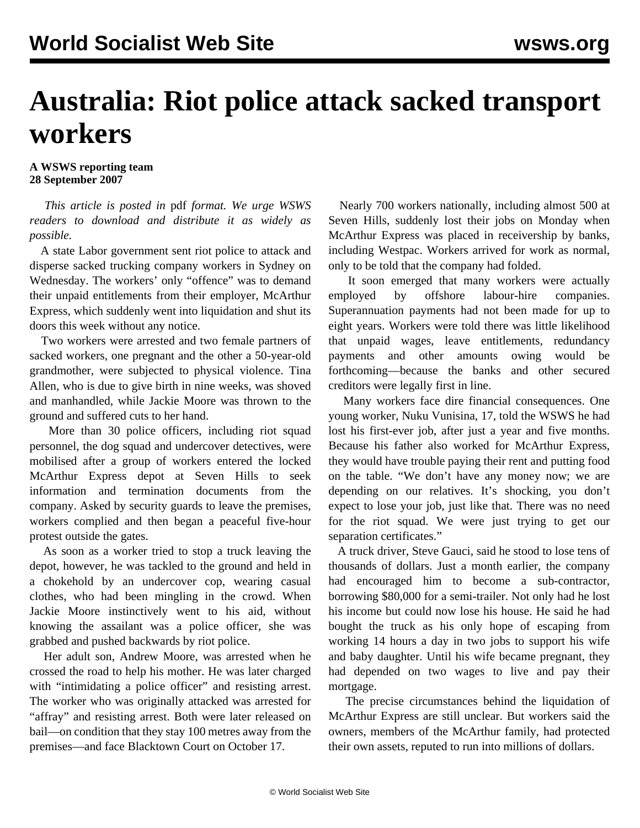## **Australia: Riot police attack sacked transport workers**

## **A WSWS reporting team 28 September 2007**

 *This article is posted in* pdf *format. We urge WSWS readers to download and distribute it as widely as possible.*

 A state Labor government sent riot police to attack and disperse sacked trucking company workers in Sydney on Wednesday. The workers' only "offence" was to demand their unpaid entitlements from their employer, McArthur Express, which suddenly went into liquidation and shut its doors this week without any notice.

 Two workers were arrested and two female partners of sacked workers, one pregnant and the other a 50-year-old grandmother, were subjected to physical violence. Tina Allen, who is due to give birth in nine weeks, was shoved and manhandled, while Jackie Moore was thrown to the ground and suffered cuts to her hand.

 More than 30 police officers, including riot squad personnel, the dog squad and undercover detectives, were mobilised after a group of workers entered the locked McArthur Express depot at Seven Hills to seek information and termination documents from the company. Asked by security guards to leave the premises, workers complied and then began a peaceful five-hour protest outside the gates.

 As soon as a worker tried to stop a truck leaving the depot, however, he was tackled to the ground and held in a chokehold by an undercover cop, wearing casual clothes, who had been mingling in the crowd. When Jackie Moore instinctively went to his aid, without knowing the assailant was a police officer, she was grabbed and pushed backwards by riot police.

 Her adult son, Andrew Moore, was arrested when he crossed the road to help his mother. He was later charged with "intimidating a police officer" and resisting arrest. The worker who was originally attacked was arrested for "affray" and resisting arrest. Both were later released on bail—on condition that they stay 100 metres away from the premises—and face Blacktown Court on October 17.

 Nearly 700 workers nationally, including almost 500 at Seven Hills, suddenly lost their jobs on Monday when McArthur Express was placed in receivership by banks, including Westpac. Workers arrived for work as normal, only to be told that the company had folded.

 It soon emerged that many workers were actually employed by offshore labour-hire companies. Superannuation payments had not been made for up to eight years. Workers were told there was little likelihood that unpaid wages, leave entitlements, redundancy payments and other amounts owing would be forthcoming—because the banks and other secured creditors were legally first in line.

 Many workers face dire financial consequences. One young worker, Nuku Vunisina, 17, told the WSWS he had lost his first-ever job, after just a year and five months. Because his father also worked for McArthur Express, they would have trouble paying their rent and putting food on the table. "We don't have any money now; we are depending on our relatives. It's shocking, you don't expect to lose your job, just like that. There was no need for the riot squad. We were just trying to get our separation certificates."

A truck driver, Steve Gauci, said he stood to lose tens of thousands of dollars. Just a month earlier, the company had encouraged him to become a sub-contractor, borrowing \$80,000 for a semi-trailer. Not only had he lost his income but could now lose his house. He said he had bought the truck as his only hope of escaping from working 14 hours a day in two jobs to support his wife and baby daughter. Until his wife became pregnant, they had depended on two wages to live and pay their mortgage.

 The precise circumstances behind the liquidation of McArthur Express are still unclear. But workers said the owners, members of the McArthur family, had protected their own assets, reputed to run into millions of dollars.